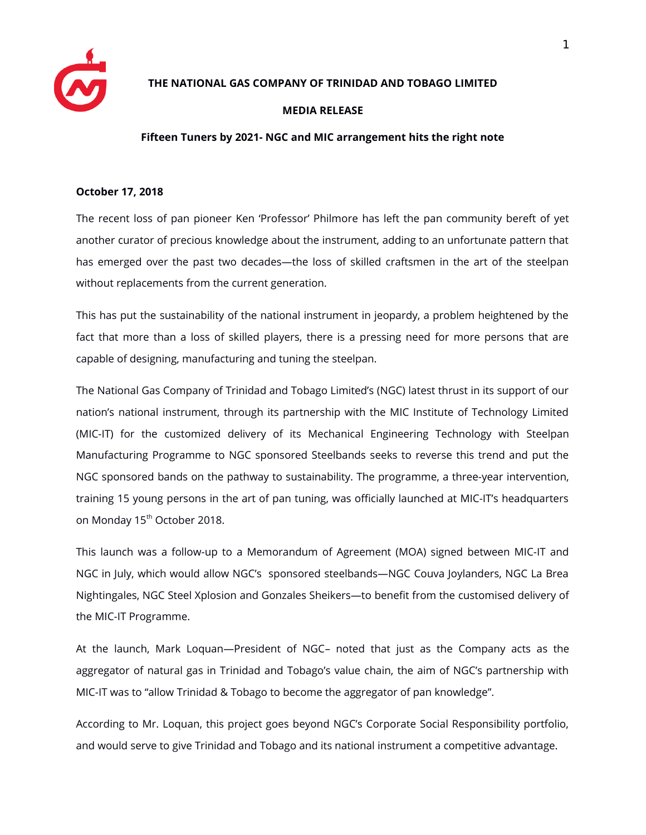

## **THE NATIONAL GAS COMPANY OF TRINIDAD AND TOBAGO LIMITED**

## **MEDIA RELEASE**

## **Fifteen Tuners by 2021- NGC and MIC arrangement hits the right note**

## **October 17, 2018**

The recent loss of pan pioneer Ken 'Professor' Philmore has left the pan community bereft of yet another curator of precious knowledge about the instrument, adding to an unfortunate pattern that has emerged over the past two decades—the loss of skilled craftsmen in the art of the steelpan without replacements from the current generation.

This has put the sustainability of the national instrument in jeopardy, a problem heightened by the fact that more than a loss of skilled players, there is a pressing need for more persons that are capable of designing, manufacturing and tuning the steelpan.

The National Gas Company of Trinidad and Tobago Limited's (NGC) latest thrust in its support of our nation's national instrument, through its partnership with the MIC Institute of Technology Limited (MIC-IT) for the customized delivery of its Mechanical Engineering Technology with Steelpan Manufacturing Programme to NGC sponsored Steelbands seeks to reverse this trend and put the NGC sponsored bands on the pathway to sustainability. The programme, a three-year intervention, training 15 young persons in the art of pan tuning, was officially launched at MIC-IT's headquarters on Monday 15<sup>th</sup> October 2018.

This launch was a follow-up to a Memorandum of Agreement (MOA) signed between MIC-IT and NGC in July, which would allow NGC's sponsored steelbands—NGC Couva Joylanders, NGC La Brea Nightingales, NGC Steel Xplosion and Gonzales Sheikers—to beneft from the customised delivery of the MIC-IT Programme.

At the launch, Mark Loquan—President of NGC– noted that just as the Company acts as the aggregator of natural gas in Trinidad and Tobago's value chain, the aim of NGC's partnership with MIC-IT was to "allow Trinidad & Tobago to become the aggregator of pan knowledge".

According to Mr. Loquan, this project goes beyond NGC's Corporate Social Responsibility portfolio, and would serve to give Trinidad and Tobago and its national instrument a competitive advantage.